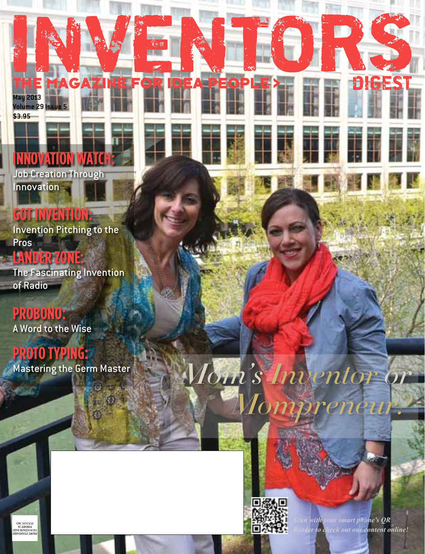#### **Innovation Watch:** Job Creation Through

E MAGAZINE I

**IDEA PEOPLI** 

elel

**Innovation** 

**May 2013**

**\$3.95**

**Volume 29 Issue 5**

## **got Invention:**

Invention Pitching to the Pros

# **lander zone:**

The Fascinating Invention of Radio

**probono:** A Word to the Wise

## **proto typing:**

Mastering the Germ Master



*Mom's Inventor or* 

*Mompreneur?*

*Scan with your smart phone's QR Reader to check out our content online!*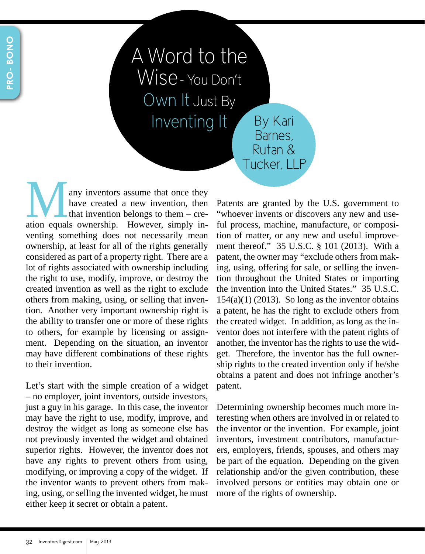A Word to the Wise- You Don't Own It Just By Inventing It By Kari Barnes,

Many inventors assume that once they have created a new invention, then that invention belongs to them – creation equals ownership. However, simply inhave created a new invention, then that invention belongs to them – creventing something does not necessarily mean ownership, at least for all of the rights generally considered as part of a property right. There are a lot of rights associated with ownership including the right to use, modify, improve, or destroy the created invention as well as the right to exclude others from making, using, or selling that invention. Another very important ownership right is the ability to transfer one or more of these rights to others, for example by licensing or assignment. Depending on the situation, an inventor may have different combinations of these rights to their invention.

Let's start with the simple creation of a widget – no employer, joint inventors, outside investors, just a guy in his garage. In this case, the inventor may have the right to use, modify, improve, and destroy the widget as long as someone else has not previously invented the widget and obtained superior rights. However, the inventor does not have any rights to prevent others from using, modifying, or improving a copy of the widget. If the inventor wants to prevent others from making, using, or selling the invented widget, he must either keep it secret or obtain a patent.

Patents are granted by the U.S. government to "whoever invents or discovers any new and useful process, machine, manufacture, or composition of matter, or any new and useful improvement thereof." 35 U.S.C. § 101 (2013). With a patent, the owner may "exclude others from making, using, offering for sale, or selling the invention throughout the United States or importing the invention into the United States." 35 U.S.C.  $154(a)(1)$  (2013). So long as the inventor obtains a patent, he has the right to exclude others from the created widget. In addition, as long as the inventor does not interfere with the patent rights of another, the inventor has the rights to use the widget. Therefore, the inventor has the full ownership rights to the created invention only if he/she obtains a patent and does not infringe another's patent.

Rutan & Tucker, LLP

Determining ownership becomes much more interesting when others are involved in or related to the inventor or the invention. For example, joint inventors, investment contributors, manufacturers, employers, friends, spouses, and others may be part of the equation. Depending on the given relationship and/or the given contribution, these involved persons or entities may obtain one or more of the rights of ownership.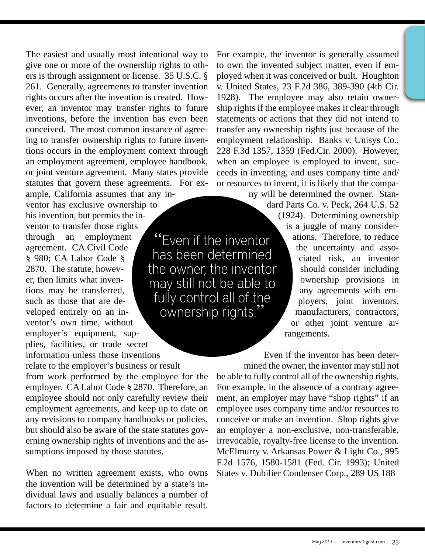The easiest and usually most intentional way to give one or more of the ownership rights to others is through assignment or license. 35 U.S.C. § 261. Generally, agreements to transfer invention rights occurs after the invention is created. However, an inventor may transfer rights to future inventions, before the invention has even been conceived. The most common instance of agreeing to transfer ownership rights to future inventions occurs in the employment context through an employment agreement, employee handbook, or joint venture agreement. Many states provide statutes that govern these agreements. For ex-

ample, California assumes that any inventor has exclusive ownership to his invention, but permits the inventor to transfer those rights through an employment agreement. CA Civil Code § 980; CA Labor Code § the owner, the inventor 2870. The statute, however, then limits what invenmay still not be able to tions may be transferred, such as those that are developed entirely on an inventor's own time, without employer's equipment, supplies, facilities, or trade secret information unless those inventions

relate to the employer's business or result from work performed by the employee for the employer. CA Labor Code § 2870. Therefore, an employee should not only carefully review their employment agreements, and keep up to date on any revisions to company handbooks or policies, but should also be aware of the state statutes governing ownership rights of inventions and the assumptions imposed by those statutes.

When no written agreement exists, who owns the invention will be determined by a state's individual laws and usually balances a number of factors to determine a fair and equitable result.

For example, the inventor is generally assumed to own the invented subject matter, even if employed when it was conceived or built. Houghton v. United States, 23 F.2d 386, 389-390 (4th Cir. 1928). The employee may also retain ownership rights if the employee makes it clear through statements or actions that they did not intend to transfer any ownership rights just because of the employment relationship. Banks v. Unisys Co., 228 F.3d 1357, 1359 (Fed.Cir. 2000). However, when an employee is employed to invent, succeeds in inventing, and uses company time and/ or resources to invent, it is likely that the compa-

ny will be determined the owner. Stan-

dard Parts Co. v. Peck, 264 U.S. 52 (1924). Determining ownership is a juggle of many considerations. Therefore, to reduce the uncertainty and associated risk, an inventor should consider including ownership provisions in any agreements with employers, joint inventors, manufacturers, contractors, or other joint venture ar-

rangements.

"Even if the inventor

has been determined

fully control all of the

ownership rights.'

Even if the inventor has been determined the owner, the inventor may still not

be able to fully control all of the ownership rights. For example, in the absence of a contrary agreement, an employer may have "shop rights" if an employee uses company time and/or resources to conceive or make an invention. Shop rights give an employer a non-exclusive, non-transferable, irrevocable, royalty-free license to the invention. McElmurry v. Arkansas Power & Light Co., 995 F.2d 1576, 1580-1581 (Fed. Cir. 1993); United States v. Dubilier Condenser Corp., 289 US 188